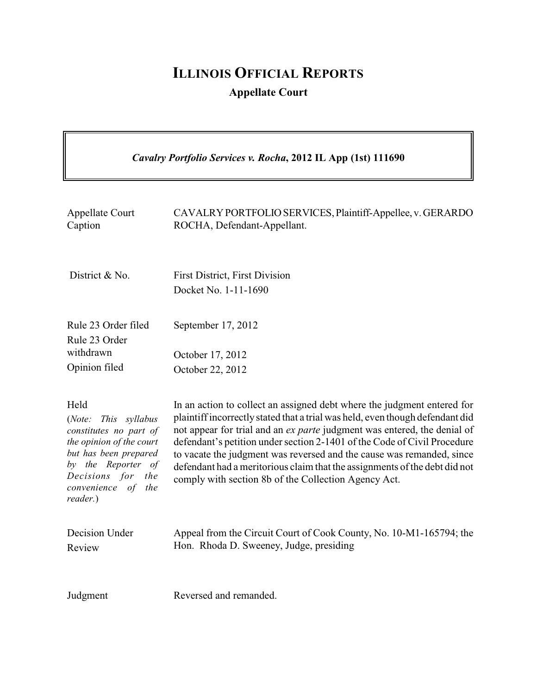# **ILLINOIS OFFICIAL REPORTS Appellate Court**

7

| Cavalry Portfolio Services v. Rocha, 2012 IL App (1st) 111690                                                                                                                                     |                                                                                                                                                                                                                                                                                                                                                                                                                                                                                                                                 |
|---------------------------------------------------------------------------------------------------------------------------------------------------------------------------------------------------|---------------------------------------------------------------------------------------------------------------------------------------------------------------------------------------------------------------------------------------------------------------------------------------------------------------------------------------------------------------------------------------------------------------------------------------------------------------------------------------------------------------------------------|
| <b>Appellate Court</b><br>Caption                                                                                                                                                                 | CAVALRY PORTFOLIO SERVICES, Plaintiff-Appellee, v. GERARDO<br>ROCHA, Defendant-Appellant.                                                                                                                                                                                                                                                                                                                                                                                                                                       |
| District & No.                                                                                                                                                                                    | <b>First District, First Division</b><br>Docket No. 1-11-1690                                                                                                                                                                                                                                                                                                                                                                                                                                                                   |
| Rule 23 Order filed<br>Rule 23 Order                                                                                                                                                              | September 17, 2012                                                                                                                                                                                                                                                                                                                                                                                                                                                                                                              |
| withdrawn                                                                                                                                                                                         | October 17, 2012                                                                                                                                                                                                                                                                                                                                                                                                                                                                                                                |
| Opinion filed                                                                                                                                                                                     | October 22, 2012                                                                                                                                                                                                                                                                                                                                                                                                                                                                                                                |
| Held<br>This syllabus<br>(Note:<br>constitutes no part of<br>the opinion of the court<br>but has been prepared<br>by the Reporter of<br>Decisions for<br>the<br>convenience of<br>the<br>reader.) | In an action to collect an assigned debt where the judgment entered for<br>plaintiff incorrectly stated that a trial was held, even though defendant did<br>not appear for trial and an ex parte judgment was entered, the denial of<br>defendant's petition under section 2-1401 of the Code of Civil Procedure<br>to vacate the judgment was reversed and the cause was remanded, since<br>defendant had a meritorious claim that the assignments of the debt did not<br>comply with section 8b of the Collection Agency Act. |
| Decision Under<br>Review                                                                                                                                                                          | Appeal from the Circuit Court of Cook County, No. 10-M1-165794; the<br>Hon. Rhoda D. Sweeney, Judge, presiding                                                                                                                                                                                                                                                                                                                                                                                                                  |
| Judgment                                                                                                                                                                                          | Reversed and remanded.                                                                                                                                                                                                                                                                                                                                                                                                                                                                                                          |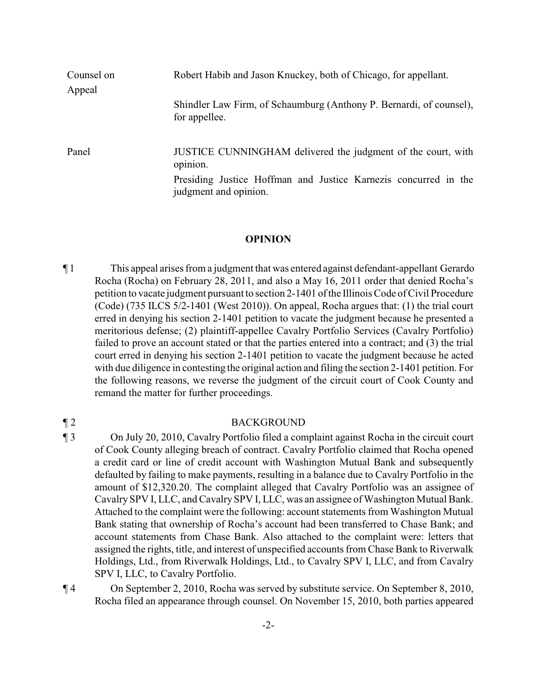| Counsel on<br>Appeal | Robert Habib and Jason Knuckey, both of Chicago, for appellant.                          |
|----------------------|------------------------------------------------------------------------------------------|
|                      | Shindler Law Firm, of Schaumburg (Anthony P. Bernardi, of counsel),<br>for appellee.     |
| Panel                | JUSTICE CUNNINGHAM delivered the judgment of the court, with<br>opinion.                 |
|                      | Presiding Justice Hoffman and Justice Karnezis concurred in the<br>judgment and opinion. |

## **OPINION**

¶ 1 This appeal arises from a judgment that was entered against defendant-appellant Gerardo Rocha (Rocha) on February 28, 2011, and also a May 16, 2011 order that denied Rocha's petition to vacate judgment pursuant to section 2-1401 of the IllinoisCode of Civil Procedure (Code) (735 ILCS 5/2-1401 (West 2010)). On appeal, Rocha argues that: (1) the trial court erred in denying his section 2-1401 petition to vacate the judgment because he presented a meritorious defense; (2) plaintiff-appellee Cavalry Portfolio Services (Cavalry Portfolio) failed to prove an account stated or that the parties entered into a contract; and (3) the trial court erred in denying his section 2-1401 petition to vacate the judgment because he acted with due diligence in contesting the original action and filing the section 2-1401 petition. For the following reasons, we reverse the judgment of the circuit court of Cook County and remand the matter for further proceedings.

### ¶ 2 BACKGROUND

¶ 3 On July 20, 2010, Cavalry Portfolio filed a complaint against Rocha in the circuit court of Cook County alleging breach of contract. Cavalry Portfolio claimed that Rocha opened a credit card or line of credit account with Washington Mutual Bank and subsequently defaulted by failing to make payments, resulting in a balance due to Cavalry Portfolio in the amount of \$12,320.20. The complaint alleged that Cavalry Portfolio was an assignee of CavalrySPV I, LLC, and CavalrySPV I, LLC, was an assignee of Washington Mutual Bank. Attached to the complaint were the following: account statements from Washington Mutual Bank stating that ownership of Rocha's account had been transferred to Chase Bank; and account statements from Chase Bank. Also attached to the complaint were: letters that assigned the rights, title, and interest of unspecified accounts from Chase Bank to Riverwalk Holdings, Ltd., from Riverwalk Holdings, Ltd., to Cavalry SPV I, LLC, and from Cavalry SPV I, LLC, to Cavalry Portfolio.

¶ 4 On September 2, 2010, Rocha was served by substitute service. On September 8, 2010, Rocha filed an appearance through counsel. On November 15, 2010, both parties appeared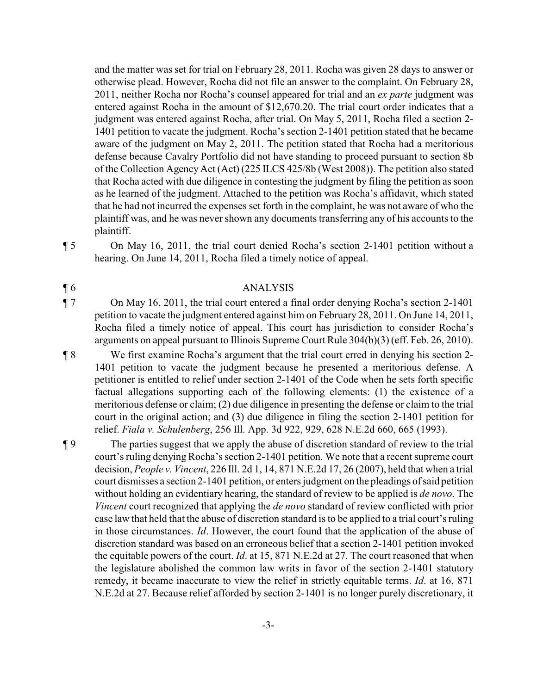and the matter was set for trial on February 28, 2011. Rocha was given 28 days to answer or otherwise plead. However, Rocha did not file an answer to the complaint. On February 28, 2011, neither Rocha nor Rocha's counsel appeared for trial and an *ex parte* judgment was entered against Rocha in the amount of \$12,670.20. The trial court order indicates that a judgment was entered against Rocha, after trial. On May 5, 2011, Rocha filed a section 2- 1401 petition to vacate the judgment. Rocha's section 2-1401 petition stated that he became aware of the judgment on May 2, 2011. The petition stated that Rocha had a meritorious defense because Cavalry Portfolio did not have standing to proceed pursuant to section 8b of the Collection Agency Act (Act) (225 ILCS 425/8b (West 2008)). The petition also stated that Rocha acted with due diligence in contesting the judgment by filing the petition as soon as he learned of the judgment. Attached to the petition was Rocha's affidavit, which stated that he had not incurred the expenses set forth in the complaint, he was not aware of who the plaintiff was, and he was nevershown any documents transferring any of his accounts to the plaintiff.

¶ 5 On May 16, 2011, the trial court denied Rocha's section 2-1401 petition without a

#### ¶ 6 ANALYSIS

hearing. On June 14, 2011, Rocha filed a timely notice of appeal.

¶ 7 On May 16, 2011, the trial court entered a final order denying Rocha's section 2-1401 petition to vacate the judgment entered against him on February 28, 2011. On June 14, 2011, Rocha filed a timely notice of appeal. This court has jurisdiction to consider Rocha's arguments on appeal pursuant to Illinois Supreme Court Rule 304(b)(3) (eff. Feb. 26, 2010).

¶ 8 We first examine Rocha's argument that the trial court erred in denying his section 2- 1401 petition to vacate the judgment because he presented a meritorious defense. A petitioner is entitled to relief under section 2-1401 of the Code when he sets forth specific factual allegations supporting each of the following elements: (1) the existence of a meritorious defense or claim; (2) due diligence in presenting the defense or claim to the trial court in the original action; and (3) due diligence in filing the section 2-1401 petition for relief. *Fiala v. Schulenberg*, 256 Ill. App. 3d 922, 929, 628 N.E.2d 660, 665 (1993).

¶ 9 The parties suggest that we apply the abuse of discretion standard of review to the trial court's ruling denying Rocha's section 2-1401 petition. We note that a recent supreme court decision, *People v. Vincent*, 226 Ill. 2d 1, 14, 871 N.E.2d 17, 26 (2007), held that when a trial court dismisses a section 2-1401 petition, or enters judgment on the pleadings of said petition without holding an evidentiary hearing, the standard of review to be applied is *de novo*. The *Vincent* court recognized that applying the *de novo* standard of review conflicted with prior case law that held that the abuse of discretion standard is to be applied to a trial court's ruling in those circumstances. *Id*. However, the court found that the application of the abuse of discretion standard was based on an erroneous belief that a section 2-1401 petition invoked the equitable powers of the court. *Id*. at 15, 871 N.E.2d at 27. The court reasoned that when the legislature abolished the common law writs in favor of the section 2-1401 statutory remedy, it became inaccurate to view the relief in strictly equitable terms. *Id*. at 16, 871 N.E.2d at 27. Because relief afforded by section 2-1401 is no longer purely discretionary, it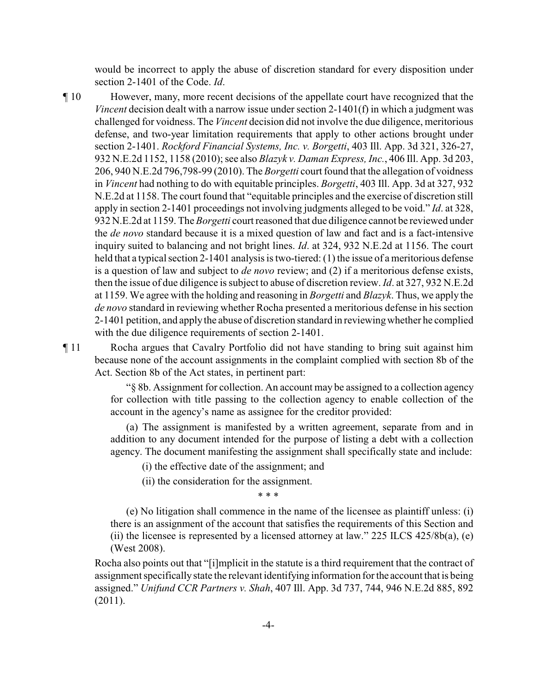would be incorrect to apply the abuse of discretion standard for every disposition under section 2-1401 of the Code. *Id*.

¶ 10 However, many, more recent decisions of the appellate court have recognized that the *Vincent* decision dealt with a narrow issue under section 2-1401(f) in which a judgment was challenged for voidness. The *Vincent* decision did not involve the due diligence, meritorious defense, and two-year limitation requirements that apply to other actions brought under section 2-1401. *Rockford Financial Systems, Inc. v. Borgetti*, 403 Ill. App. 3d 321, 326-27, 932 N.E.2d 1152, 1158 (2010); see also *Blazyk v. Daman Express, Inc.*, 406 Ill. App. 3d 203, 206, 940 N.E.2d 796,798-99 (2010). The *Borgetti* court found that the allegation of voidness in *Vincent* had nothing to do with equitable principles. *Borgetti*, 403 Ill. App. 3d at 327, 932 N.E.2d at 1158. The court found that "equitable principles and the exercise of discretion still apply in section 2-1401 proceedings not involving judgments alleged to be void." *Id*. at 328, 932 N.E.2d at 1159. The *Borgetti* court reasoned that due diligence cannot be reviewed under the *de novo* standard because it is a mixed question of law and fact and is a fact-intensive inquiry suited to balancing and not bright lines. *Id*. at 324, 932 N.E.2d at 1156. The court held that a typical section 2-1401 analysis is two-tiered: (1) the issue of a meritorious defense is a question of law and subject to *de novo* review; and (2) if a meritorious defense exists, then the issue of due diligence is subject to abuse of discretion review. *Id*. at 327, 932 N.E.2d at 1159. We agree with the holding and reasoning in *Borgetti* and *Blazyk*. Thus, we apply the *de novo* standard in reviewing whether Rocha presented a meritorious defense in his section 2-1401 petition, and applythe abuse of discretion standard in reviewingwhether he complied with the due diligence requirements of section 2-1401.

¶ 11 Rocha argues that Cavalry Portfolio did not have standing to bring suit against him because none of the account assignments in the complaint complied with section 8b of the Act. Section 8b of the Act states, in pertinent part:

> "§ 8b. Assignment for collection. An account may be assigned to a collection agency for collection with title passing to the collection agency to enable collection of the account in the agency's name as assignee for the creditor provided:

> (a) The assignment is manifested by a written agreement, separate from and in addition to any document intended for the purpose of listing a debt with a collection agency. The document manifesting the assignment shall specifically state and include:

(i) the effective date of the assignment; and

(ii) the consideration for the assignment.

\* \* \*

(e) No litigation shall commence in the name of the licensee as plaintiff unless: (i) there is an assignment of the account that satisfies the requirements of this Section and (ii) the licensee is represented by a licensed attorney at law."  $225$  ILCS  $425/8b(a)$ , (e) (West 2008).

Rocha also points out that "[i]mplicit in the statute is a third requirement that the contract of assignment specificallystate the relevant identifying information for the account that is being assigned." *Unifund CCR Partners v. Shah*, 407 Ill. App. 3d 737, 744, 946 N.E.2d 885, 892 (2011).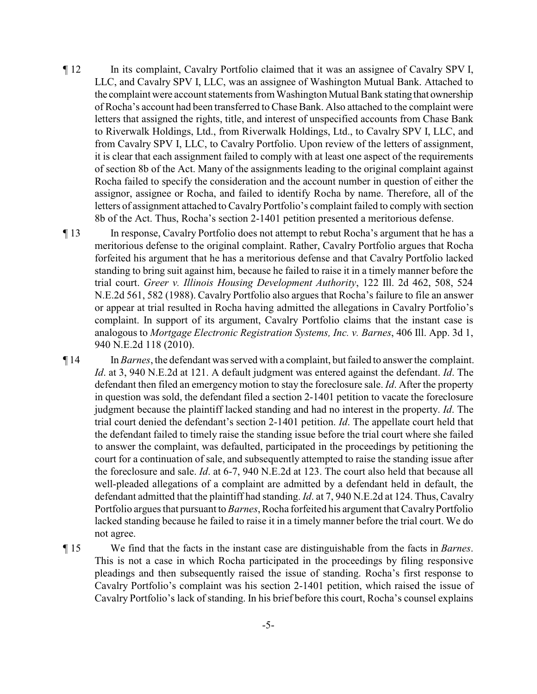¶ 12 In its complaint, Cavalry Portfolio claimed that it was an assignee of Cavalry SPV I, LLC, and Cavalry SPV I, LLC, was an assignee of Washington Mutual Bank. Attached to the complaint were account statements from Washington Mutual Bank statingthat ownership of Rocha's account had been transferred to Chase Bank. Also attached to the complaint were letters that assigned the rights, title, and interest of unspecified accounts from Chase Bank to Riverwalk Holdings, Ltd., from Riverwalk Holdings, Ltd., to Cavalry SPV I, LLC, and from Cavalry SPV I, LLC, to Cavalry Portfolio. Upon review of the letters of assignment, it is clear that each assignment failed to comply with at least one aspect of the requirements of section 8b of the Act. Many of the assignments leading to the original complaint against Rocha failed to specify the consideration and the account number in question of either the assignor, assignee or Rocha, and failed to identify Rocha by name. Therefore, all of the letters of assignment attached to Cavalry Portfolio's complaint failed to comply with section 8b of the Act. Thus, Rocha's section 2-1401 petition presented a meritorious defense.

¶ 13 In response, Cavalry Portfolio does not attempt to rebut Rocha's argument that he has a meritorious defense to the original complaint. Rather, Cavalry Portfolio argues that Rocha forfeited his argument that he has a meritorious defense and that Cavalry Portfolio lacked standing to bring suit against him, because he failed to raise it in a timely manner before the trial court. *Greer v. Illinois Housing Development Authority*, 122 Ill. 2d 462, 508, 524 N.E.2d 561, 582 (1988). Cavalry Portfolio also argues that Rocha's failure to file an answer or appear at trial resulted in Rocha having admitted the allegations in Cavalry Portfolio's complaint. In support of its argument, Cavalry Portfolio claims that the instant case is analogous to *Mortgage Electronic Registration Systems, Inc. v. Barnes*, 406 Ill. App. 3d 1, 940 N.E.2d 118 (2010).

¶ 14 In *Barnes*, the defendant was served with a complaint, but failed to answer the complaint. *Id*. at 3, 940 N.E.2d at 121. A default judgment was entered against the defendant. *Id*. The defendant then filed an emergency motion to stay the foreclosure sale. *Id*. After the property in question was sold, the defendant filed a section 2-1401 petition to vacate the foreclosure judgment because the plaintiff lacked standing and had no interest in the property. *Id*. The trial court denied the defendant's section 2-1401 petition. *Id*. The appellate court held that the defendant failed to timely raise the standing issue before the trial court where she failed to answer the complaint, was defaulted, participated in the proceedings by petitioning the court for a continuation of sale, and subsequently attempted to raise the standing issue after the foreclosure and sale. *Id*. at 6-7, 940 N.E.2d at 123. The court also held that because all well-pleaded allegations of a complaint are admitted by a defendant held in default, the defendant admitted that the plaintiff had standing. *Id*. at 7, 940 N.E.2d at 124. Thus, Cavalry Portfolio argues that pursuant to *Barnes*, Rocha forfeited his argument that CavalryPortfolio lacked standing because he failed to raise it in a timely manner before the trial court. We do not agree.

¶ 15 We find that the facts in the instant case are distinguishable from the facts in *Barnes*. This is not a case in which Rocha participated in the proceedings by filing responsive pleadings and then subsequently raised the issue of standing. Rocha's first response to Cavalry Portfolio's complaint was his section 2-1401 petition, which raised the issue of Cavalry Portfolio's lack of standing. In his brief before this court, Rocha's counsel explains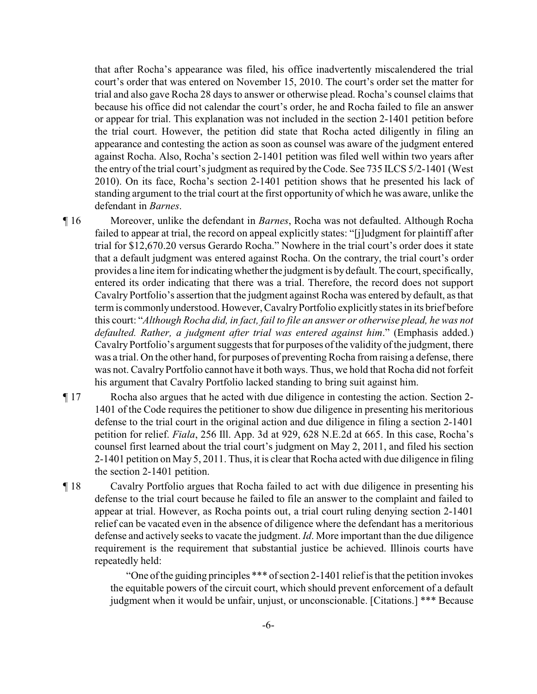that after Rocha's appearance was filed, his office inadvertently miscalendered the trial court's order that was entered on November 15, 2010. The court's order set the matter for trial and also gave Rocha 28 days to answer or otherwise plead. Rocha's counsel claims that because his office did not calendar the court's order, he and Rocha failed to file an answer or appear for trial. This explanation was not included in the section 2-1401 petition before the trial court. However, the petition did state that Rocha acted diligently in filing an appearance and contesting the action as soon as counsel was aware of the judgment entered against Rocha. Also, Rocha's section 2-1401 petition was filed well within two years after the entry of the trial court's judgment as required by the Code. See 735 ILCS 5/2-1401 (West 2010). On its face, Rocha's section 2-1401 petition shows that he presented his lack of standing argument to the trial court at the first opportunity of which he was aware, unlike the defendant in *Barnes*.

- ¶ 16 Moreover, unlike the defendant in *Barnes*, Rocha was not defaulted. Although Rocha failed to appear at trial, the record on appeal explicitly states: "[j]udgment for plaintiff after trial for \$12,670.20 versus Gerardo Rocha." Nowhere in the trial court's order does it state that a default judgment was entered against Rocha. On the contrary, the trial court's order provides a line item for indicating whether the judgment is by default. The court, specifically, entered its order indicating that there was a trial. Therefore, the record does not support Cavalry Portfolio's assertion that the judgment against Rocha was entered by default, as that term is commonlyunderstood. However, CavalryPortfolio explicitlystates in its brief before this court: "*Although Rocha did, in fact, fail to file an answer or otherwise plead, he was not defaulted. Rather, a judgment after trial was entered against him*." (Emphasis added.) Cavalry Portfolio's argument suggests that for purposes of the validity of the judgment, there was a trial. On the other hand, for purposes of preventing Rocha from raising a defense, there was not. CavalryPortfolio cannot have it both ways. Thus, we hold that Rocha did not forfeit his argument that Cavalry Portfolio lacked standing to bring suit against him.
- ¶ 17 Rocha also argues that he acted with due diligence in contesting the action. Section 2- 1401 of the Code requires the petitioner to show due diligence in presenting his meritorious defense to the trial court in the original action and due diligence in filing a section 2-1401 petition for relief. *Fiala*, 256 Ill. App. 3d at 929, 628 N.E.2d at 665. In this case, Rocha's counsel first learned about the trial court's judgment on May 2, 2011, and filed his section 2-1401 petition on May 5, 2011. Thus, it is clear that Rocha acted with due diligence in filing the section 2-1401 petition.
- ¶ 18 Cavalry Portfolio argues that Rocha failed to act with due diligence in presenting his defense to the trial court because he failed to file an answer to the complaint and failed to appear at trial. However, as Rocha points out, a trial court ruling denying section 2-1401 relief can be vacated even in the absence of diligence where the defendant has a meritorious defense and actively seeks to vacate the judgment. *Id*. More important than the due diligence requirement is the requirement that substantial justice be achieved. Illinois courts have repeatedly held:

"One of the guiding principles \*\*\* of section 2-1401 reliefis that the petition invokes the equitable powers of the circuit court, which should prevent enforcement of a default judgment when it would be unfair, unjust, or unconscionable. [Citations.] \*\*\* Because